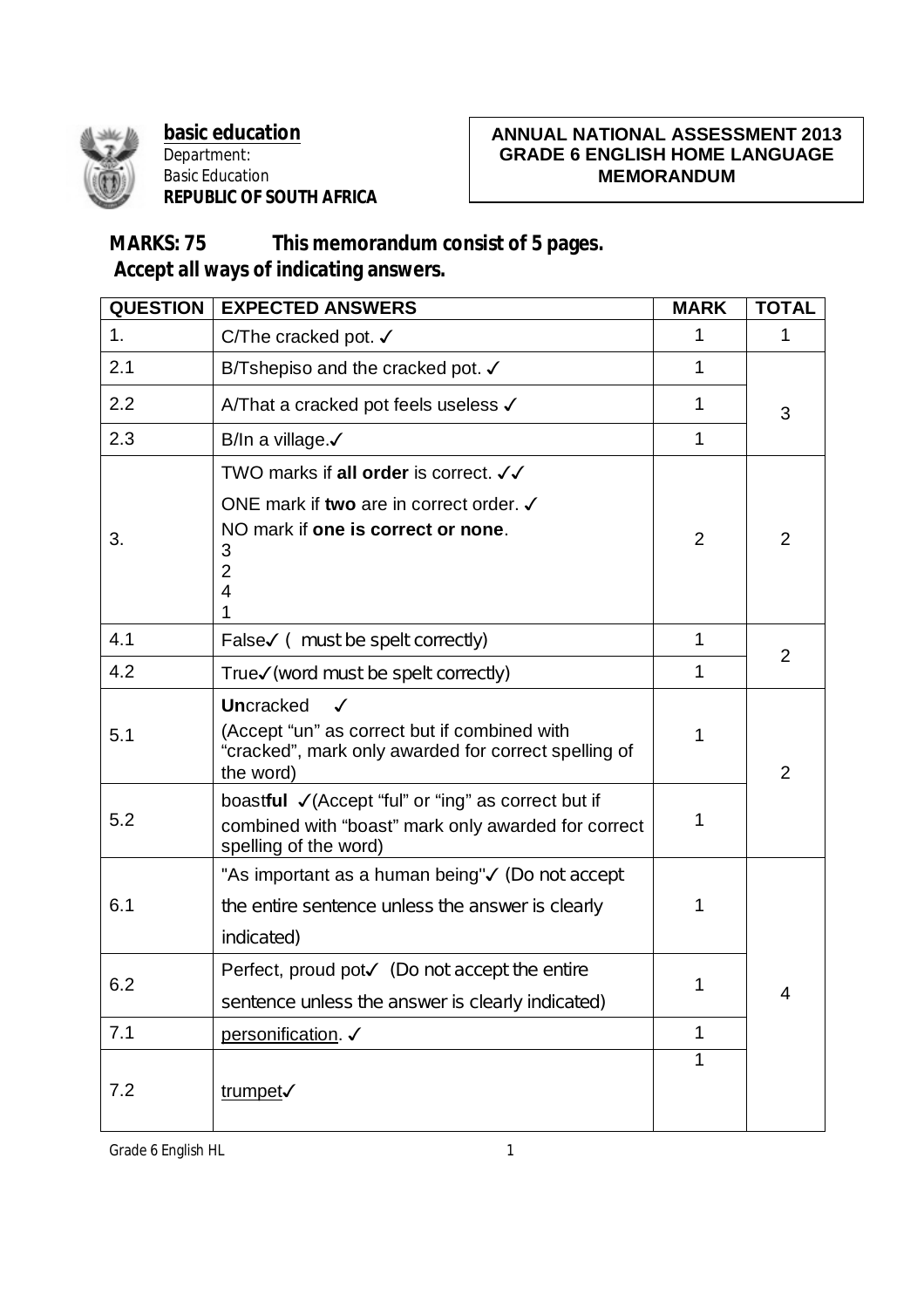

**basic education** Department: Basic Education **REPUBLIC OF SOUTH AFRICA**

## **ANNUAL NATIONAL ASSESSMENT 2013 GRADE 6 ENGLISH HOME LANGUAGE MEMORANDUM**

## **MARKS: 75 This memorandum consist of 5 pages. Accept all ways of indicating answers.**

| <b>QUESTION</b> | <b>EXPECTED ANSWERS</b>                                                                                                                               | <b>MARK</b> | <b>TOTAL</b> |
|-----------------|-------------------------------------------------------------------------------------------------------------------------------------------------------|-------------|--------------|
| 1.              | C/The cracked pot. √                                                                                                                                  | 1           | 1            |
| 2.1             | B/Tshepiso and the cracked pot. $\checkmark$                                                                                                          | 1           |              |
| 2.2             | A/That a cracked pot feels useless √                                                                                                                  | 1           | 3            |
| 2.3             | B/In a village. $\checkmark$                                                                                                                          | 1           |              |
|                 | TWO marks if all order is correct. √√                                                                                                                 |             |              |
| 3.              | ONE mark if two are in correct order. √<br>NO mark if one is correct or none.<br>3<br>2<br>4                                                          | 2           | 2            |
| 4.1             | False√ ( must be spelt correctly)                                                                                                                     | 1           |              |
| 4.2             | True√(word must be spelt correctly)                                                                                                                   | 1           | 2            |
| 5.1             | <b>Uncracked</b><br>$\checkmark$<br>(Accept "un" as correct but if combined with<br>"cracked", mark only awarded for correct spelling of<br>the word) | 1           | 2            |
| 5.2             | boastful √ (Accept "ful" or "ing" as correct but if<br>combined with "boast" mark only awarded for correct<br>spelling of the word)                   | 1           |              |
| 6.1             | "As important as a human being"√ (Do not accept<br>the entire sentence unless the answer is clearly<br>indicated)                                     | 1           |              |
| 6.2             | Perfect, proud pot $\checkmark$ (Do not accept the entire<br>sentence unless the answer is clearly indicated)                                         | 1           | 4            |
| 7.1             | personification. √                                                                                                                                    | 1           |              |
| 7.2             | trumpet                                                                                                                                               | 1           |              |

Grade 6 English HL 1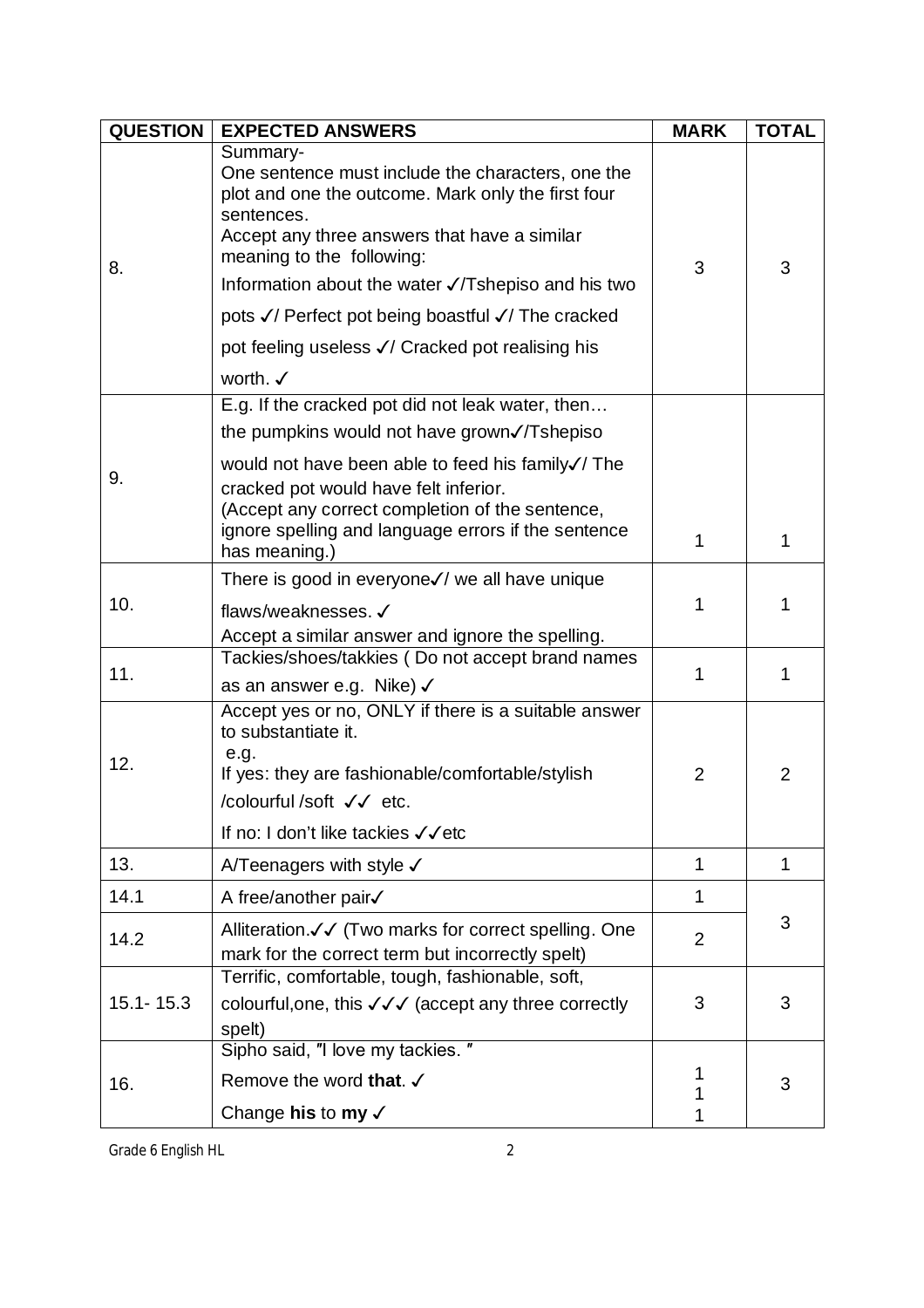| <b>QUESTION</b> | <b>EXPECTED ANSWERS</b>                                                                                                                                                                                                                                              | <b>MARK</b>    | <b>TOTAL</b>   |
|-----------------|----------------------------------------------------------------------------------------------------------------------------------------------------------------------------------------------------------------------------------------------------------------------|----------------|----------------|
| 8.              | Summary-<br>One sentence must include the characters, one the<br>plot and one the outcome. Mark only the first four<br>sentences.<br>Accept any three answers that have a similar<br>meaning to the following:<br>Information about the water √/Tshepiso and his two | 3              | 3              |
|                 | pots √/ Perfect pot being boastful √/ The cracked                                                                                                                                                                                                                    |                |                |
|                 | pot feeling useless √/ Cracked pot realising his                                                                                                                                                                                                                     |                |                |
|                 | worth. $\checkmark$                                                                                                                                                                                                                                                  |                |                |
|                 | E.g. If the cracked pot did not leak water, then                                                                                                                                                                                                                     |                |                |
|                 | the pumpkins would not have grown√/Tshepiso                                                                                                                                                                                                                          |                |                |
| 9.              | would not have been able to feed his family√/ The<br>cracked pot would have felt inferior.<br>(Accept any correct completion of the sentence,<br>ignore spelling and language errors if the sentence<br>has meaning.)                                                | 1              | 1              |
|                 | There is good in everyone√/ we all have unique                                                                                                                                                                                                                       |                |                |
| 10.             | flaws/weaknesses. √                                                                                                                                                                                                                                                  | 1              | 1              |
|                 | Accept a similar answer and ignore the spelling.<br>Tackies/shoes/takkies (Do not accept brand names                                                                                                                                                                 |                |                |
| 11.             | as an answer e.g. Nike) √                                                                                                                                                                                                                                            | 1              | 1              |
| 12.             | Accept yes or no, ONLY if there is a suitable answer<br>to substantiate it.<br>e.g.<br>If yes: they are fashionable/comfortable/stylish<br>/colourful /soft √√ etc.<br>If no: I don't like tackies √√etc                                                             | 2              | $\overline{2}$ |
| 13.             | A/Teenagers with style $\checkmark$                                                                                                                                                                                                                                  | $\mathbf{1}$   | $\mathbf{1}$   |
| 14.1            | A free/another pair√                                                                                                                                                                                                                                                 | 1              |                |
| 14.2            | Alliteration. V V (Two marks for correct spelling. One<br>mark for the correct term but incorrectly spelt)                                                                                                                                                           | $\overline{2}$ | 3              |
| $15.1 - 15.3$   | Terrific, comfortable, tough, fashionable, soft,<br>colourful, one, this √√√ (accept any three correctly<br>spelt)                                                                                                                                                   | 3              | 3              |
| 16.             | Sipho said, "I love my tackies."                                                                                                                                                                                                                                     |                |                |
|                 | Remove the word that. √                                                                                                                                                                                                                                              | 1<br>1         | 3              |
|                 | Change his to my $\checkmark$                                                                                                                                                                                                                                        |                |                |

Grade 6 English HL 2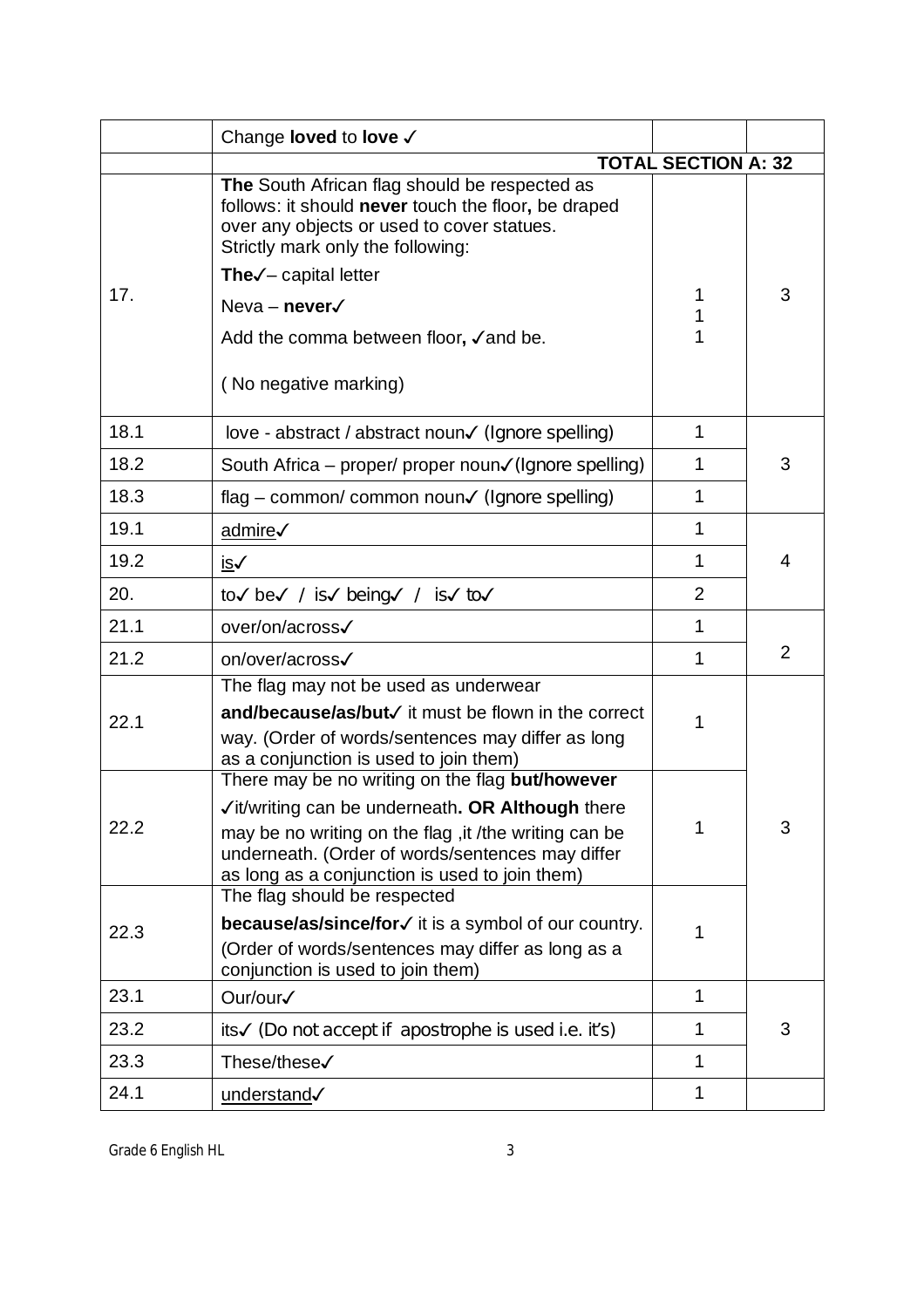|      | Change <b>loved</b> to <b>love</b> √                                                                                                                                                                                                                                                               |                            |   |
|------|----------------------------------------------------------------------------------------------------------------------------------------------------------------------------------------------------------------------------------------------------------------------------------------------------|----------------------------|---|
|      |                                                                                                                                                                                                                                                                                                    | <b>TOTAL SECTION A: 32</b> |   |
| 17.  | The South African flag should be respected as<br>follows: it should never touch the floor, be draped<br>over any objects or used to cover statues.<br>Strictly mark only the following:<br>The $\checkmark$ – capital letter<br>Neva – never $\checkmark$<br>Add the comma between floor, √and be. | 1<br>1                     | 3 |
|      | (No negative marking)                                                                                                                                                                                                                                                                              |                            |   |
| 18.1 | love - abstract / abstract noun√ (Ignore spelling)                                                                                                                                                                                                                                                 | 1                          |   |
| 18.2 | South Africa – proper/ proper noun√(Ignore spelling)                                                                                                                                                                                                                                               | 1                          | 3 |
| 18.3 | flag – common/ common noun $\checkmark$ (Ignore spelling)                                                                                                                                                                                                                                          | 1                          |   |
| 19.1 | admire√                                                                                                                                                                                                                                                                                            | 1                          |   |
| 19.2 | <u>is√</u>                                                                                                                                                                                                                                                                                         | 1                          | 4 |
| 20.  | to√ be√ / is√ being√ / is√ to√                                                                                                                                                                                                                                                                     | $\overline{2}$             |   |
| 21.1 | over/on/across√                                                                                                                                                                                                                                                                                    | 1                          |   |
| 21.2 | on/over/across√                                                                                                                                                                                                                                                                                    | 1                          | 2 |
| 22.1 | The flag may not be used as underwear<br>and/because/as/but√ it must be flown in the correct<br>way. (Order of words/sentences may differ as long<br>as a conjunction is used to join them)                                                                                                        | 1                          |   |
| 22.2 | There may be no writing on the flag but/however<br>√it/writing can be underneath. OR Although there<br>may be no writing on the flag, it /the writing can be<br>underneath. (Order of words/sentences may differ<br>as long as a conjunction is used to join them)                                 | 1                          | 3 |
| 22.3 | The flag should be respected<br><b>because/as/since/for√</b> it is a symbol of our country.<br>(Order of words/sentences may differ as long as a<br>conjunction is used to join them)                                                                                                              | 1                          |   |
| 23.1 | Our/our√                                                                                                                                                                                                                                                                                           | 1                          |   |
| 23.2 | its√ (Do not accept if apostrophe is used i.e. it's)                                                                                                                                                                                                                                               | 1                          | 3 |
| 23.3 | These/these√                                                                                                                                                                                                                                                                                       | 1                          |   |
| 24.1 | understand                                                                                                                                                                                                                                                                                         | 1                          |   |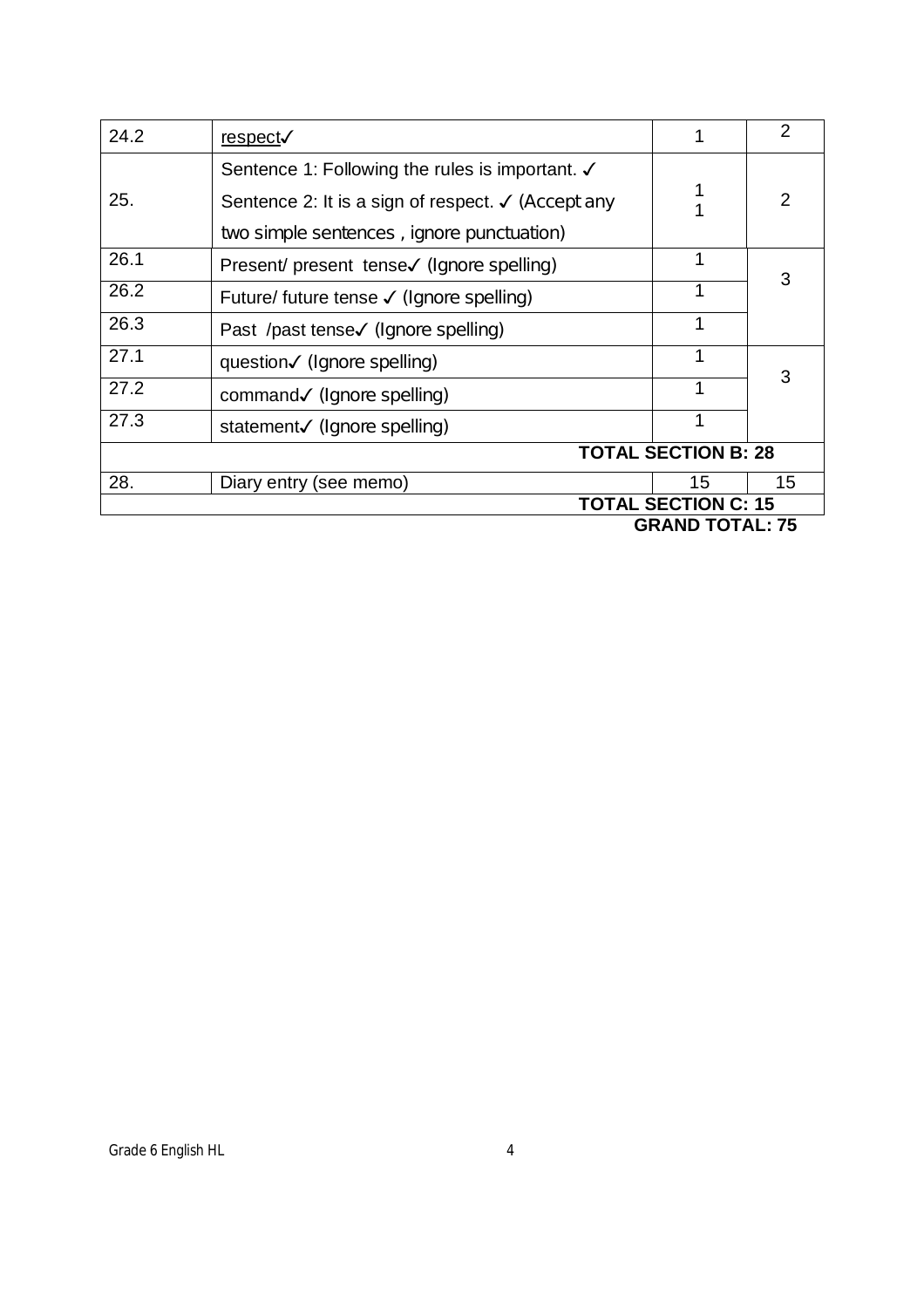| 24.2                       | <u>respect</u> √                                              |                  | $\overline{2}$ |
|----------------------------|---------------------------------------------------------------|------------------|----------------|
|                            | Sentence 1: Following the rules is important. √               |                  |                |
| 25.                        | Sentence 2: It is a sign of respect. $\checkmark$ (Accept any |                  | $\overline{2}$ |
|                            | two simple sentences, ignore punctuation)                     |                  |                |
| 26.1                       | Present/ present tense√ (Ignore spelling)                     |                  | 3              |
| 26.2                       | Future/ future tense √ (Ignore spelling)                      |                  |                |
| 26.3                       | Past /past tense√ (Ignore spelling)                           |                  |                |
| 27.1                       | question√ (Ignore spelling)                                   |                  |                |
| 27.2                       | command√ (Ignore spelling)                                    |                  | 3              |
| 27.3                       | statement√ (Ignore spelling)                                  |                  |                |
| <b>TOTAL SECTION B: 28</b> |                                                               |                  |                |
| 28.                        | Diary entry (see memo)                                        | 15               | 15             |
| <b>TOTAL SECTION C: 15</b> |                                                               |                  |                |
|                            |                                                               | CRAND TOTAL . 75 |                |

 **GRAND TOTAL: 75**